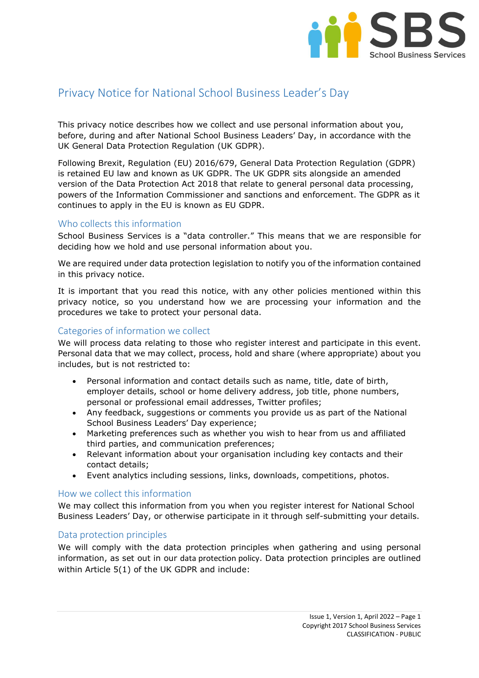

# Privacy Notice for National School Business Leader's Day

This privacy notice describes how we collect and use personal information about you, before, during and after National School Business Leaders' Day, in accordance with the UK General Data Protection Regulation (UK GDPR).

Following Brexit, Regulation (EU) 2016/679, General Data Protection Regulation (GDPR) is retained EU law and known as UK GDPR. The UK GDPR sits alongside an amended version of the Data Protection Act 2018 that relate to general personal data processing, powers of the Information Commissioner and sanctions and enforcement. The GDPR as it continues to apply in the EU is known as EU GDPR.

# Who collects this information

School Business Services is a "data controller." This means that we are responsible for deciding how we hold and use personal information about you.

We are required under data protection legislation to notify you of the information contained in this privacy notice.

It is important that you read this notice, with any other policies mentioned within this privacy notice, so you understand how we are processing your information and the procedures we take to protect your personal data.

# Categories of information we collect

We will process data relating to those who register interest and participate in this event. Personal data that we may collect, process, hold and share (where appropriate) about you includes, but is not restricted to:

- Personal information and contact details such as name, title, date of birth, employer details, school or home delivery address, job title, phone numbers, personal or professional email addresses, Twitter profiles;
- Any feedback, suggestions or comments you provide us as part of the National School Business Leaders' Day experience;
- Marketing preferences such as whether you wish to hear from us and affiliated third parties, and communication preferences;
- Relevant information about your organisation including key contacts and their contact details;
- Event analytics including sessions, links, downloads, competitions, photos.

## How we collect this information

We may collect this information from you when you register interest for National School Business Leaders' Day, or otherwise participate in it through self-submitting your details.

## Data protection principles

We will comply with the data protection principles when gathering and using personal information, as set out in our data protection policy. Data protection principles are outlined within Article 5(1) of the UK GDPR and include: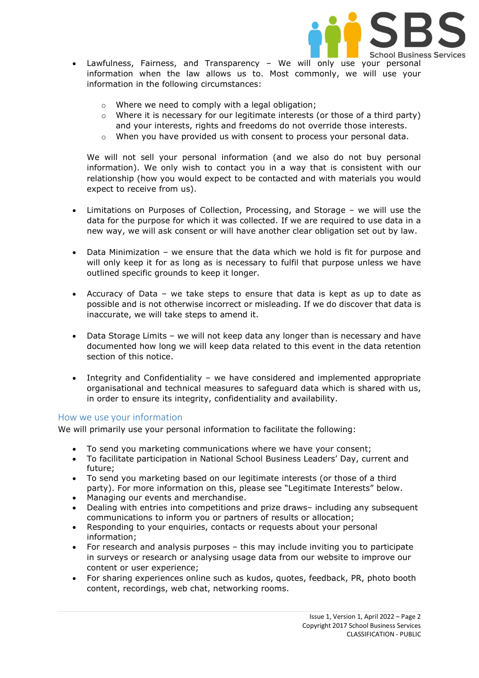

- Lawfulness, Fairness, and Transparency We will only use your personal information when the law allows us to. Most commonly, we will use your information in the following circumstances:
	- o Where we need to comply with a legal obligation;
	- $\circ$  Where it is necessary for our legitimate interests (or those of a third party) and your interests, rights and freedoms do not override those interests.
	- $\circ$  When you have provided us with consent to process your personal data.

We will not sell your personal information (and we also do not buy personal information). We only wish to contact you in a way that is consistent with our relationship (how you would expect to be contacted and with materials you would expect to receive from us).

- Limitations on Purposes of Collection, Processing, and Storage we will use the data for the purpose for which it was collected. If we are required to use data in a new way, we will ask consent or will have another clear obligation set out by law.
- Data Minimization we ensure that the data which we hold is fit for purpose and will only keep it for as long as is necessary to fulfil that purpose unless we have outlined specific grounds to keep it longer.
- Accuracy of Data we take steps to ensure that data is kept as up to date as possible and is not otherwise incorrect or misleading. If we do discover that data is inaccurate, we will take steps to amend it.
- Data Storage Limits we will not keep data any longer than is necessary and have documented how long we will keep data related to this event in the data retention section of this notice.
- Integrity and Confidentiality we have considered and implemented appropriate organisational and technical measures to safeguard data which is shared with us, in order to ensure its integrity, confidentiality and availability.

## How we use your information

We will primarily use your personal information to facilitate the following:

- To send you marketing communications where we have your consent;
- To facilitate participation in National School Business Leaders' Day, current and future;
- To send you marketing based on our legitimate interests (or those of a third party). For more information on this, please see "Legitimate Interests" below.
- Managing our events and merchandise.
- Dealing with entries into competitions and prize draws– including any subsequent communications to inform you or partners of results or allocation;
- Responding to your enquiries, contacts or requests about your personal information;
- For research and analysis purposes this may include inviting you to participate in surveys or research or analysing usage data from our website to improve our content or user experience;
- For sharing experiences online such as kudos, quotes, feedback, PR, photo booth content, recordings, web chat, networking rooms.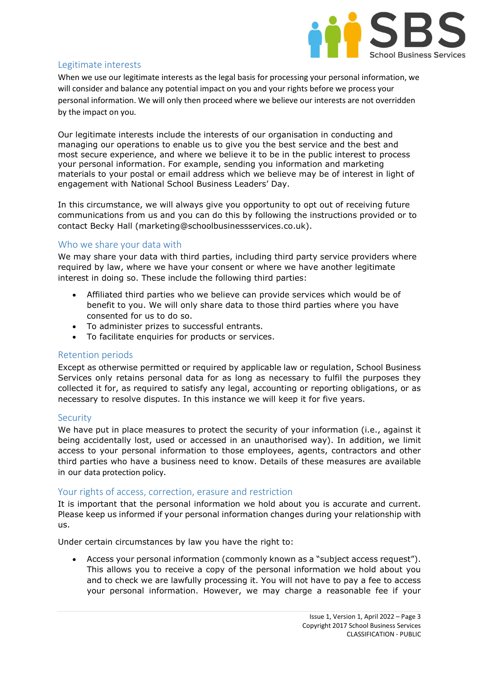

## Legitimate interests

When we use our legitimate interests as the legal basis for processing your personal information, we will consider and balance any potential impact on you and your rights before we process your personal information. We will only then proceed where we believe our interests are not overridden by the impact on you.

Our legitimate interests include the interests of our organisation in conducting and managing our operations to enable us to give you the best service and the best and most secure experience, and where we believe it to be in the public interest to process your personal information. For example, sending you information and marketing materials to your postal or email address which we believe may be of interest in light of engagement with National School Business Leaders' Day.

In this circumstance, we will always give you opportunity to opt out of receiving future communications from us and you can do this by following the instructions provided or to contact Becky Hall (marketing@schoolbusinessservices.co.uk).

#### Who we share your data with

We may share your data with third parties, including third party service providers where required by law, where we have your consent or where we have another legitimate interest in doing so. These include the following third parties:

- Affiliated third parties who we believe can provide services which would be of benefit to you. We will only share data to those third parties where you have consented for us to do so.
- To administer prizes to successful entrants.
- To facilitate enquiries for products or services.

#### Retention periods

Except as otherwise permitted or required by applicable law or regulation, School Business Services only retains personal data for as long as necessary to fulfil the purposes they collected it for, as required to satisfy any legal, accounting or reporting obligations, or as necessary to resolve disputes. In this instance we will keep it for five years.

#### **Security**

We have put in place measures to protect the security of your information (i.e., against it being accidentally lost, used or accessed in an unauthorised way). In addition, we limit access to your personal information to those employees, agents, contractors and other third parties who have a business need to know. Details of these measures are available in our data protection policy.

#### Your rights of access, correction, erasure and restriction

It is important that the personal information we hold about you is accurate and current. Please keep us informed if your personal information changes during your relationship with us.

Under certain circumstances by law you have the right to:

 Access your personal information (commonly known as a "subject access request"). This allows you to receive a copy of the personal information we hold about you and to check we are lawfully processing it. You will not have to pay a fee to access your personal information. However, we may charge a reasonable fee if your